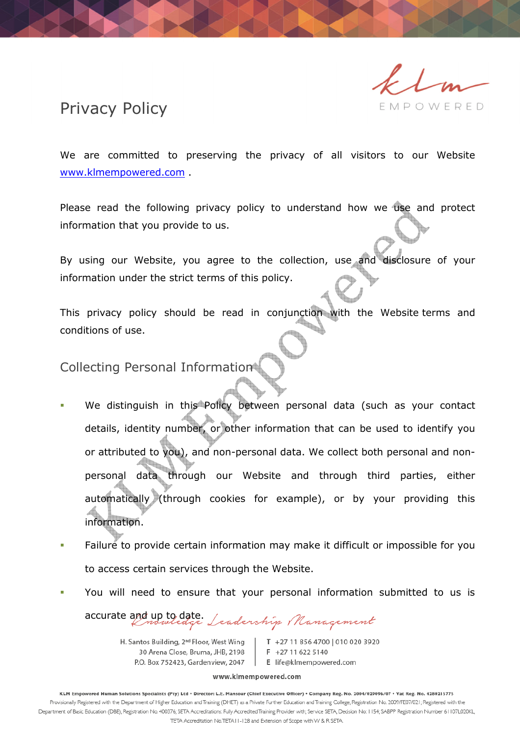#### MPOWERED

# Privacy Policy

We are committed to preserving the privacy of all visitors to our Website www.klmempowered.com .

Please read the following privacy policy to understand how we use and protect information that you provide to us.

By using our Website, you agree to the collection, use and disclosure of your information under the strict terms of this policy.

This privacy policy should be read in conjunction with the Website terms and conditions of use.

Collecting Personal Information

- We distinguish in this Policy between personal data (such as your contact details, identity number, or other information that can be used to identify you or attributed to you), and non-personal data. We collect both personal and nonpersonal data through our Website and through third parties, either automatically (through cookies for example), or by your providing this information.
- Failure to provide certain information may make it difficult or impossible for you to access certain services through the Website.
- You will need to ensure that your personal information submitted to us is

accurate and up to date.Leadership Management

H. Santos Building, 2<sup>nd</sup> Floor, West Wing 30 Arena Close, Bruma, JHB, 2198 P.O. Box 752423, Gardenview, 2047

T +27 11 856 4700 010 020 3920 F +27 11 622 5140 E life@klmempowered.com

www.klmempowered.com

KLM Empowered Human Solutions Specialists (Pty) Ltd · Director: L.E. Mansour (Chief Executive Officer) · Company Reg. No. 2004/029096/07 · Vat Reg. No. 4280215775 Provisionally Registered with the Department of Higher Education and Training (DHET) as a Private Further Education and Training College, Registration No. 2009/FE07/021; Registered with the Department of Basic Education (DBE), Registration No. 400376; SETA Accreditations: Fully Accredited Training Provider with; Service SETA, Decision No: 1154; SABPP Registration Number 61107L020KL, TETA Accreditation No.TETA11-128 and Extension of Scope with W & R SETA.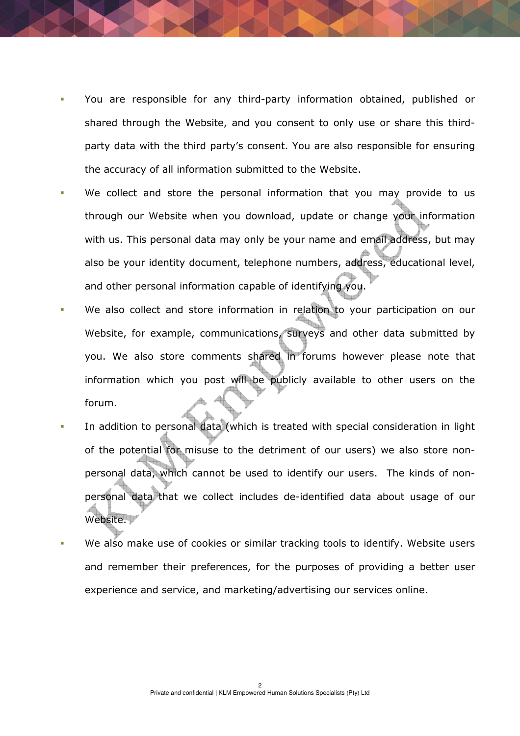- You are responsible for any third-party information obtained, published or shared through the Website, and you consent to only use or share this thirdparty data with the third party's consent. You are also responsible for ensuring the accuracy of all information submitted to the Website.
- We collect and store the personal information that you may provide to us through our Website when you download, update or change your information with us. This personal data may only be your name and email address, but may also be your identity document, telephone numbers, address, educational level, and other personal information capable of identifying you.
- We also collect and store information in relation to your participation on our Website, for example, communications, surveys and other data submitted by you. We also store comments shared in forums however please note that information which you post will be publicly available to other users on the forum.
- In addition to personal data (which is treated with special consideration in light of the potential for misuse to the detriment of our users) we also store nonpersonal data, which cannot be used to identify our users. The kinds of nonpersonal data that we collect includes de-identified data about usage of our Website.
- We also make use of cookies or similar tracking tools to identify. Website users and remember their preferences, for the purposes of providing a better user experience and service, and marketing/advertising our services online.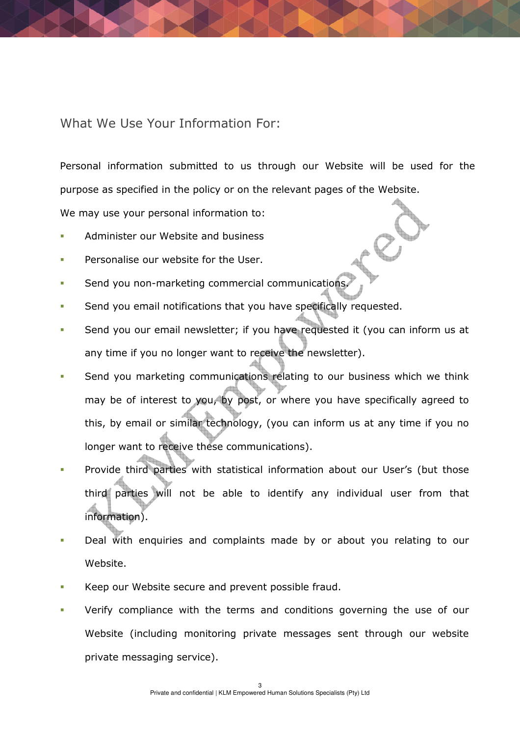### What We Use Your Information For:

Personal information submitted to us through our Website will be used for the purpose as specified in the policy or on the relevant pages of the Website.

We may use your personal information to:

- Administer our Website and business
- Personalise our website for the User.
- Send you non-marketing commercial communications
- Send you email notifications that you have specifically requested.
- Send you our email newsletter; if you have requested it (you can inform us at any time if you no longer want to receive the newsletter).
- Send you marketing communications relating to our business which we think may be of interest to you, by post, or where you have specifically agreed to this, by email or similar technology, (you can inform us at any time if you no longer want to receive these communications).
- Provide third parties with statistical information about our User's (but those third parties will not be able to identify any individual user from that information).
- Deal with enquiries and complaints made by or about you relating to our Website.
- Keep our Website secure and prevent possible fraud.
- Verify compliance with the terms and conditions governing the use of our Website (including monitoring private messages sent through our website private messaging service).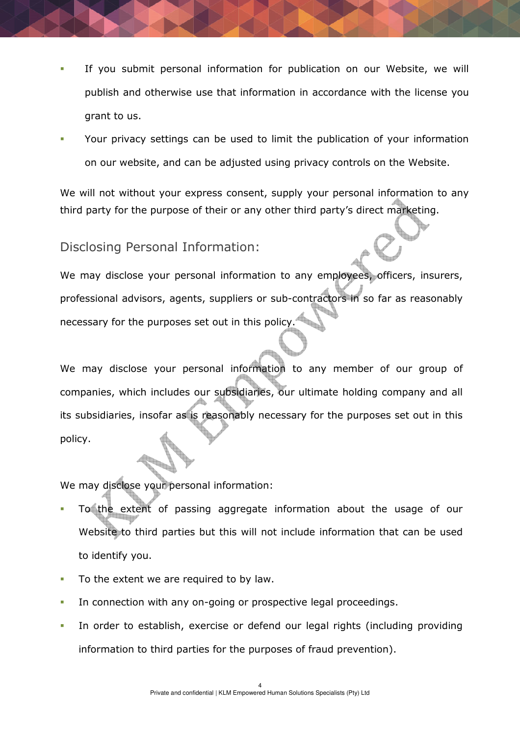- If you submit personal information for publication on our Website, we will publish and otherwise use that information in accordance with the license you grant to us.
- Your privacy settings can be used to limit the publication of your information on our website, and can be adjusted using privacy controls on the Website.

We will not without your express consent, supply your personal information to any third party for the purpose of their or any other third party's direct marketing.

Disclosing Personal Information:

We may disclose your personal information to any employees, officers, insurers, professional advisors, agents, suppliers or sub-contractors in so far as reasonably necessary for the purposes set out in this policy.

We may disclose your personal information to any member of our group of companies, which includes our subsidiaries, our ultimate holding company and all its subsidiaries, insofar as is reasonably necessary for the purposes set out in this policy.

We may disclose your personal information:

- To the extent of passing aggregate information about the usage of our Website to third parties but this will not include information that can be used to identify you.
- To the extent we are required to by law.
- In connection with any on-going or prospective legal proceedings.
- In order to establish, exercise or defend our legal rights (including providing information to third parties for the purposes of fraud prevention).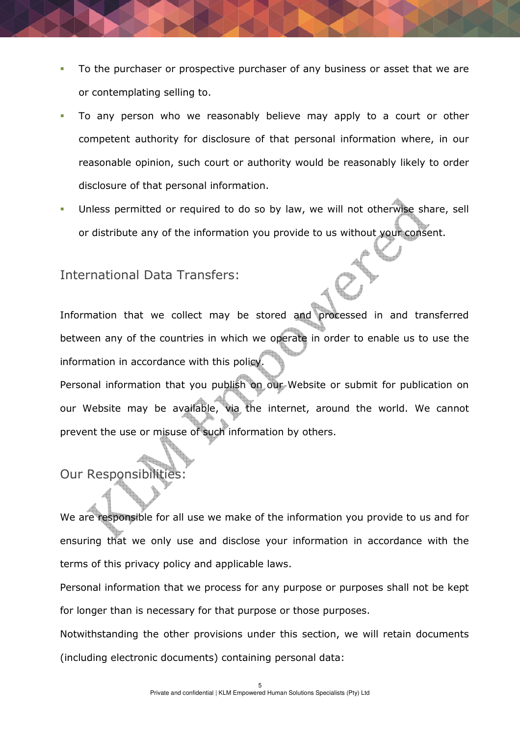- To the purchaser or prospective purchaser of any business or asset that we are or contemplating selling to.
- To any person who we reasonably believe may apply to a court or other competent authority for disclosure of that personal information where, in our reasonable opinion, such court or authority would be reasonably likely to order disclosure of that personal information.
- Unless permitted or required to do so by law, we will not otherwise share, sell or distribute any of the information you provide to us without your consent.

### International Data Transfers:

Information that we collect may be stored and processed in and transferred between any of the countries in which we operate in order to enable us to use the information in accordance with this policy.

Personal information that you publish on our Website or submit for publication on our Website may be available, via the internet, around the world. We cannot prevent the use or misuse of such information by others.

# Our Responsibilit

We are responsible for all use we make of the information you provide to us and for ensuring that we only use and disclose your information in accordance with the terms of this privacy policy and applicable laws.

Personal information that we process for any purpose or purposes shall not be kept for longer than is necessary for that purpose or those purposes.

Notwithstanding the other provisions under this section, we will retain documents (including electronic documents) containing personal data: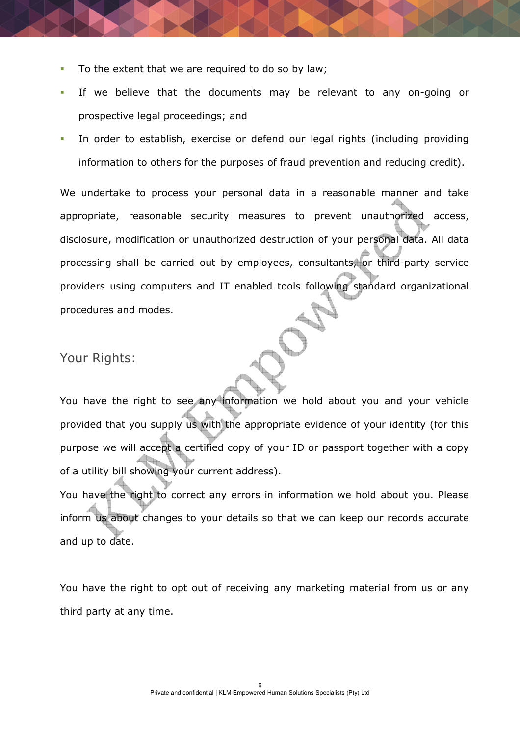- To the extent that we are required to do so by law;
- If we believe that the documents may be relevant to any on-going or prospective legal proceedings; and
- In order to establish, exercise or defend our legal rights (including providing information to others for the purposes of fraud prevention and reducing credit).

We undertake to process your personal data in a reasonable manner and take appropriate, reasonable security measures to prevent unauthorized access, disclosure, modification or unauthorized destruction of your personal data. All data processing shall be carried out by employees, consultants, or third-party service providers using computers and IT enabled tools following standard organizational procedures and modes.

#### Your Rights:

You have the right to see any information we hold about you and your vehicle provided that you supply us with the appropriate evidence of your identity (for this purpose we will accept a certified copy of your ID or passport together with a copy of a utility bill showing your current address).

You have the right to correct any errors in information we hold about you. Please inform us about changes to your details so that we can keep our records accurate and up to date.

You have the right to opt out of receiving any marketing material from us or any third party at any time.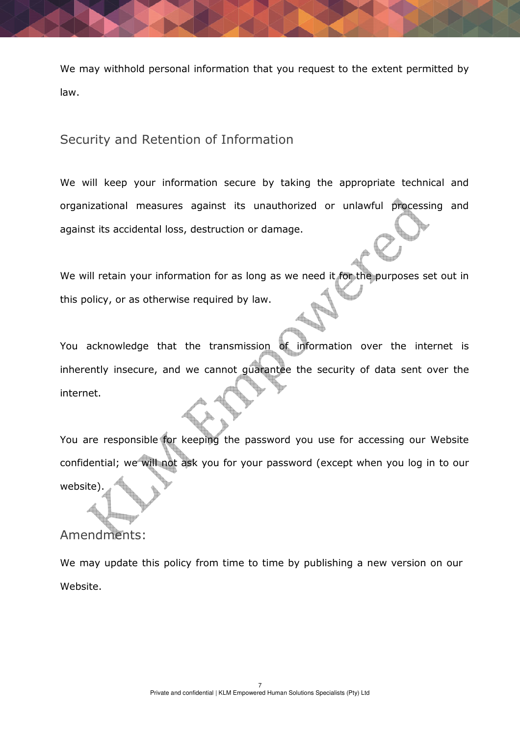We may withhold personal information that you request to the extent permitted by law.

Security and Retention of Information

We will keep your information secure by taking the appropriate technical and organizational measures against its unauthorized or unlawful processing and against its accidental loss, destruction or damage.

We will retain your information for as long as we need it for the purposes set out in this policy, or as otherwise required by law.

You acknowledge that the transmission of information over the internet is inherently insecure, and we cannot guarantee the security of data sent over the internet.

You are responsible for keeping the password you use for accessing our Website confidential; we will not ask you for your password (except when you log in to our website)

## Amendments:

We may update this policy from time to time by publishing a new version on our Website.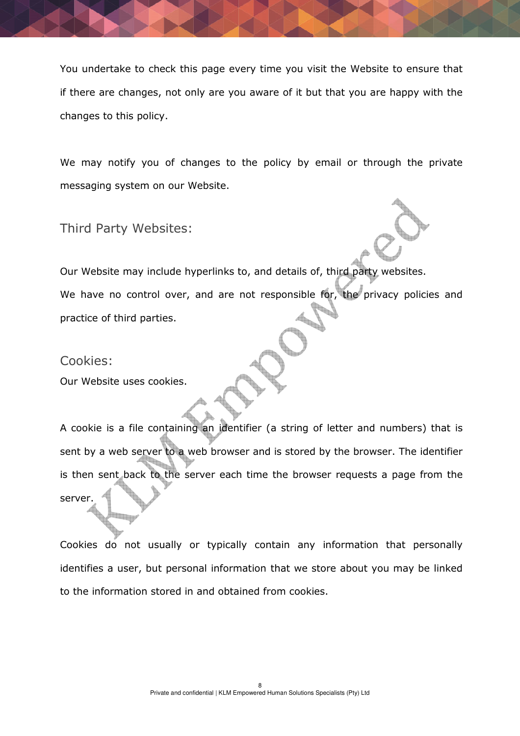You undertake to check this page every time you visit the Website to ensure that if there are changes, not only are you aware of it but that you are happy with the changes to this policy.

We may notify you of changes to the policy by email or through the private messaging system on our Website.

Third Party Websites:

Our Website may include hyperlinks to, and details of, third party websites. We have no control over, and are not responsible for, the privacy policies and practice of third parties.

Cookies:

Our Website uses cookies.

A cookie is a file containing an identifier (a string of letter and numbers) that is sent by a web server to a web browser and is stored by the browser. The identifier is then sent back to the server each time the browser requests a page from the server.

Cookies do not usually or typically contain any information that personally identifies a user, but personal information that we store about you may be linked to the information stored in and obtained from cookies.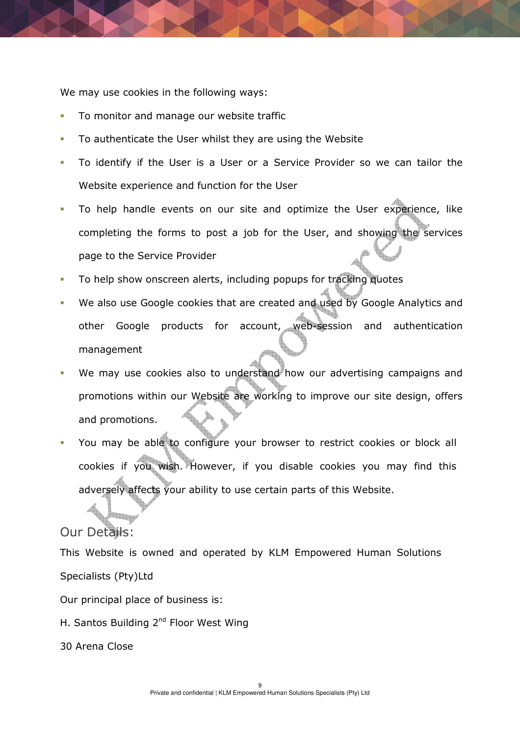We may use cookies in the following ways:

- To monitor and manage our website traffic
- To authenticate the User whilst they are using the Website
- To identify if the User is a User or a Service Provider so we can tailor the Website experience and function for the User
- To help handle events on our site and optimize the User experience, like completing the forms to post a job for the User, and showing the services page to the Service Provider
- To help show onscreen alerts, including popups for tracking quotes
- We also use Google cookies that are created and used by Google Analytics and other Google products for account, web-session and authentication management
- We may use cookies also to understand how our advertising campaigns and promotions within our Website are working to improve our site design, offers and promotions.
- You may be able to configure your browser to restrict cookies or block all cookies if you wish. However, if you disable cookies you may find this adversely affects your ability to use certain parts of this Website.

### Our Details:

This Website is owned and operated by KLM Empowered Human Solutions Specialists (Pty)Ltd Our principal place of business is: H. Santos Building 2<sup>nd</sup> Floor West Wing 30 Arena Close